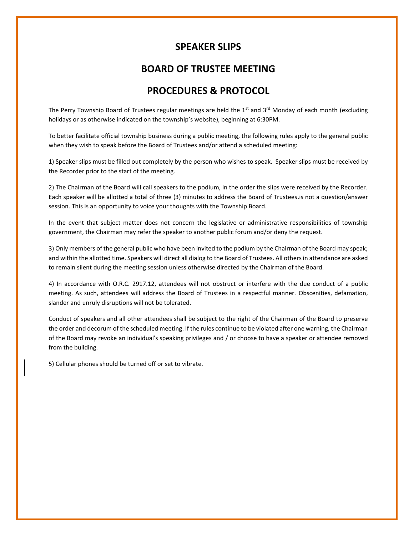## **SPEAKER SLIPS**

## **BOARD OF TRUSTEE MEETING**

## **PROCEDURES & PROTOCOL**

The Perry Township Board of Trustees regular meetings are held the  $1<sup>st</sup>$  and  $3<sup>rd</sup>$  Monday of each month (excluding holidays or as otherwise indicated on the township's website), beginning at 6:30PM.

To better facilitate official township business during a public meeting, the following rules apply to the general public when they wish to speak before the Board of Trustees and/or attend a scheduled meeting:

1) Speaker slips must be filled out completely by the person who wishes to speak. Speaker slips must be received by the Recorder prior to the start of the meeting.

2) The Chairman of the Board will call speakers to the podium, in the order the slips were received by the Recorder. Each speaker will be allotted a total of three (3) minutes to address the Board of Trustees.is not a question/answer session. This is an opportunity to voice your thoughts with the Township Board.

In the event that subject matter does not concern the legislative or administrative responsibilities of township government, the Chairman may refer the speaker to another public forum and/or deny the request.

3) Only members of the general public who have been invited to the podium by the Chairman of the Board may speak; and within the allotted time. Speakers will direct all dialog to the Board of Trustees. All others in attendance are asked to remain silent during the meeting session unless otherwise directed by the Chairman of the Board.

4) In accordance with O.R.C. 2917.12, attendees will not obstruct or interfere with the due conduct of a public meeting. As such, attendees will address the Board of Trustees in a respectful manner. Obscenities, defamation, slander and unruly disruptions will not be tolerated.

Conduct of speakers and all other attendees shall be subject to the right of the Chairman of the Board to preserve the order and decorum of the scheduled meeting. If the rules continue to be violated after one warning, the Chairman of the Board may revoke an individual's speaking privileges and / or choose to have a speaker or attendee removed from the building.

5) Cellular phones should be turned off or set to vibrate.